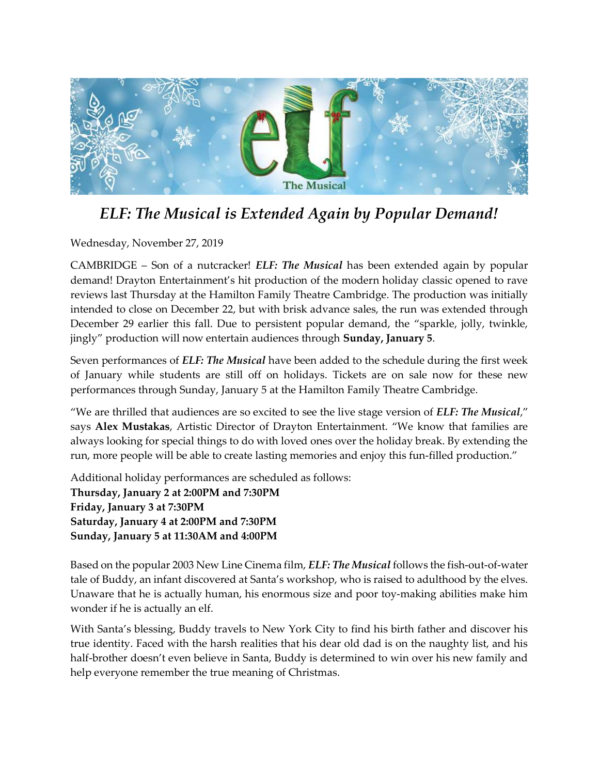

## ELF: The Musical is Extended Again by Popular Demand!

Wednesday, November 27, 2019

CAMBRIDGE – Son of a nutcracker! ELF: The Musical has been extended again by popular demand! Drayton Entertainment's hit production of the modern holiday classic opened to rave reviews last Thursday at the Hamilton Family Theatre Cambridge. The production was initially intended to close on December 22, but with brisk advance sales, the run was extended through December 29 earlier this fall. Due to persistent popular demand, the "sparkle, jolly, twinkle, jingly" production will now entertain audiences through Sunday, January 5.

Seven performances of ELF: The Musical have been added to the schedule during the first week of January while students are still off on holidays. Tickets are on sale now for these new performances through Sunday, January 5 at the Hamilton Family Theatre Cambridge.

"We are thrilled that audiences are so excited to see the live stage version of *ELF: The Musical*," says Alex Mustakas, Artistic Director of Drayton Entertainment. "We know that families are always looking for special things to do with loved ones over the holiday break. By extending the run, more people will be able to create lasting memories and enjoy this fun-filled production."

Additional holiday performances are scheduled as follows: Thursday, January 2 at 2:00PM and 7:30PM Friday, January 3 at 7:30PM Saturday, January 4 at 2:00PM and 7:30PM Sunday, January 5 at 11:30AM and 4:00PM

Based on the popular 2003 New Line Cinema film, *ELF: The Musical* follows the fish-out-of-water tale of Buddy, an infant discovered at Santa's workshop, who is raised to adulthood by the elves. Unaware that he is actually human, his enormous size and poor toy-making abilities make him wonder if he is actually an elf.

With Santa's blessing, Buddy travels to New York City to find his birth father and discover his true identity. Faced with the harsh realities that his dear old dad is on the naughty list, and his half-brother doesn't even believe in Santa, Buddy is determined to win over his new family and help everyone remember the true meaning of Christmas.